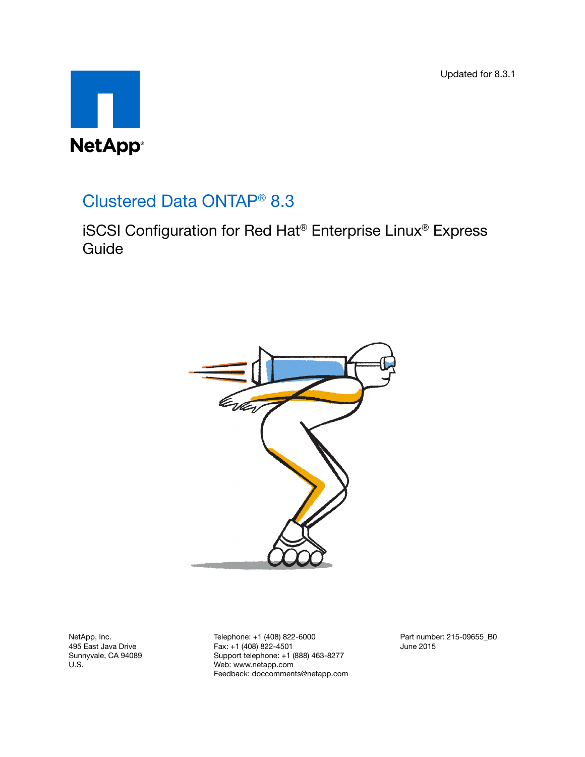Updated for 8.3.1



# Clustered Data ONTAP® 8.3

iSCSI Configuration for Red Hat® Enterprise Linux® Express Guide



NetApp, Inc. 495 East Java Drive Sunnyvale, CA 94089 U.S.

Telephone: +1 (408) 822-6000 Fax: +1 (408) 822-4501 Support telephone: +1 (888) 463-8277 Web: www.netapp.com Feedback: doccomments@netapp.com Part number: 215-09655\_B0 June 2015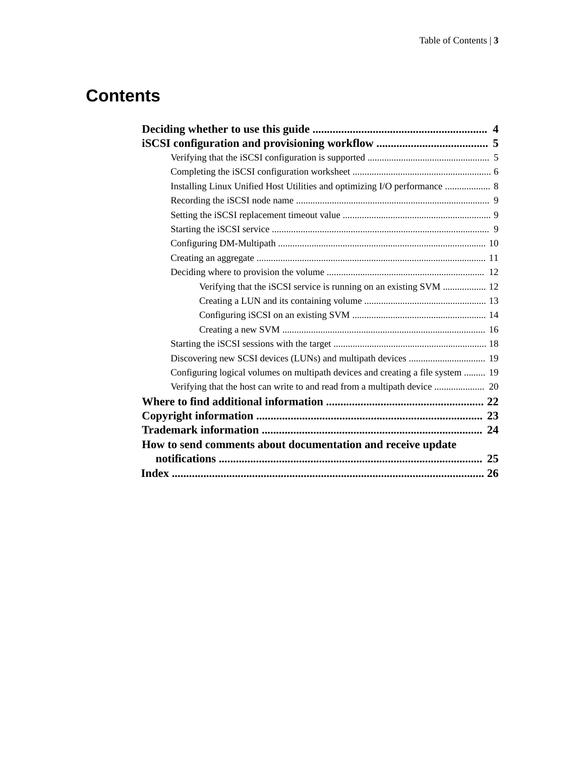# **Contents**

| Installing Linux Unified Host Utilities and optimizing I/O performance  8       |  |
|---------------------------------------------------------------------------------|--|
|                                                                                 |  |
|                                                                                 |  |
|                                                                                 |  |
|                                                                                 |  |
|                                                                                 |  |
|                                                                                 |  |
| Verifying that the iSCSI service is running on an existing SVM  12              |  |
|                                                                                 |  |
|                                                                                 |  |
|                                                                                 |  |
|                                                                                 |  |
|                                                                                 |  |
| Configuring logical volumes on multipath devices and creating a file system  19 |  |
|                                                                                 |  |
|                                                                                 |  |
|                                                                                 |  |
|                                                                                 |  |
| How to send comments about documentation and receive update                     |  |
|                                                                                 |  |
|                                                                                 |  |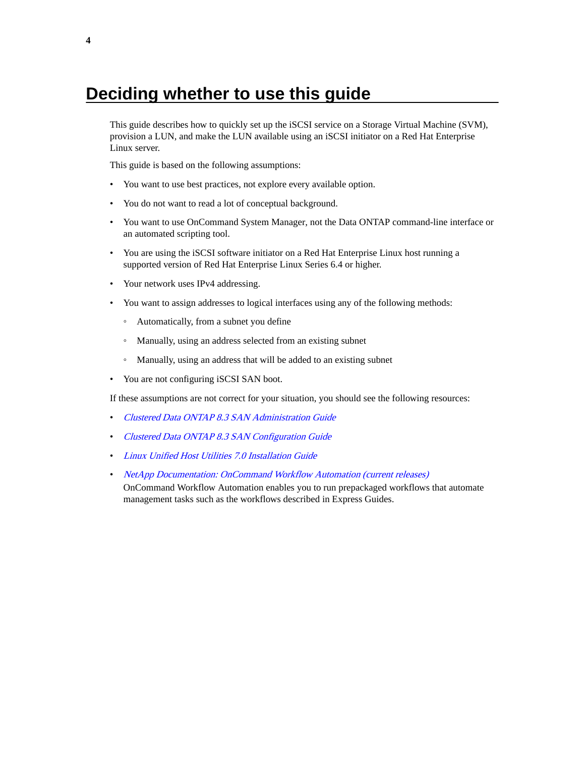# <span id="page-3-0"></span>**Deciding whether to use this guide**

This guide describes how to quickly set up the iSCSI service on a Storage Virtual Machine (SVM), provision a LUN, and make the LUN available using an iSCSI initiator on a Red Hat Enterprise Linux server.

This guide is based on the following assumptions:

- You want to use best practices, not explore every available option.
- You do not want to read a lot of conceptual background.
- You want to use OnCommand System Manager, not the Data ONTAP command-line interface or an automated scripting tool.
- You are using the iSCSI software initiator on a Red Hat Enterprise Linux host running a supported version of Red Hat Enterprise Linux Series 6.4 or higher.
- Your network uses IPv4 addressing.
- You want to assign addresses to logical interfaces using any of the following methods:
	- Automatically, from a subnet you define
	- Manually, using an address selected from an existing subnet
	- Manually, using an address that will be added to an existing subnet
- You are not configuring iSCSI SAN boot.

If these assumptions are not correct for your situation, you should see the following resources:

- [Clustered Data ONTAP 8.3 SAN Administration Guide](https://library.netapp.com/ecm/ecm_download_file/ECMP12458215)
- [Clustered Data ONTAP 8.3 SAN Configuration Guide](https://library.netapp.com/ecm/ecm_download_file/ECMP12458217)
- [Linux Unified Host Utilities 7.0 Installation Guide](https://library.netapp.com/ecm/ecm_download_file/ECMP1654941)
- [NetApp Documentation: OnCommand Workflow Automation \(current releases\)](http://mysupport.netapp.com/documentation/productlibrary/index.html?productID=61550) OnCommand Workflow Automation enables you to run prepackaged workflows that automate management tasks such as the workflows described in Express Guides.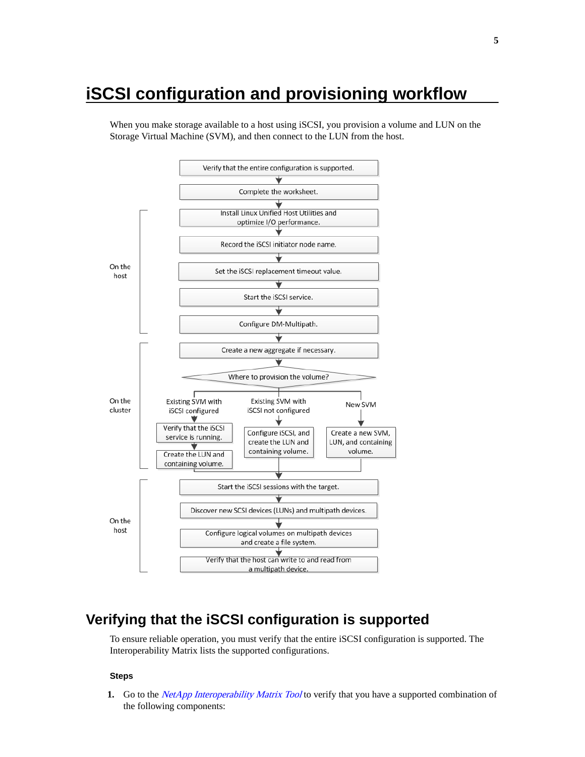# <span id="page-4-0"></span>**iSCSI configuration and provisioning workflow**

When you make storage available to a host using iSCSI, you provision a volume and LUN on the Storage Virtual Machine (SVM), and then connect to the LUN from the host.



# **Verifying that the iSCSI configuration is supported**

To ensure reliable operation, you must verify that the entire iSCSI configuration is supported. The Interoperability Matrix lists the supported configurations.

#### **Steps**

**1.** Go to the *[NetApp Interoperability Matrix Tool](http://mysupport.netapp.com/matrix)* to verify that you have a supported combination of the following components: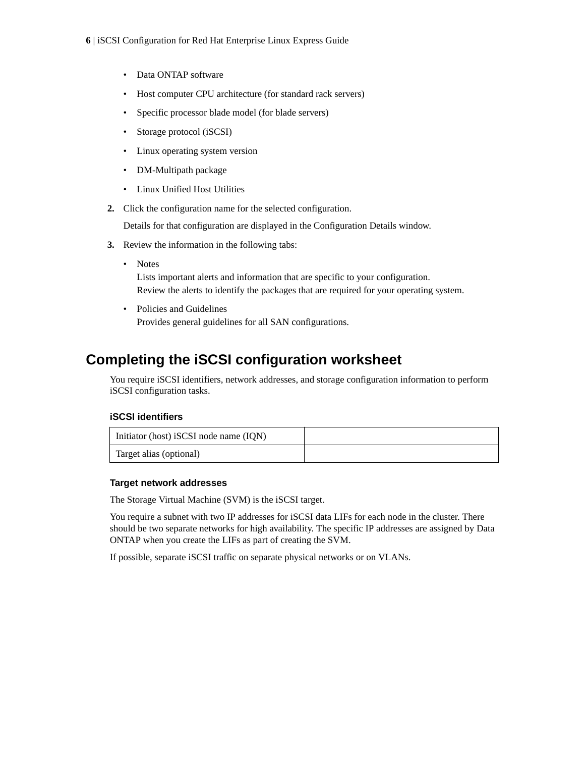- <span id="page-5-0"></span>• Data ONTAP software
- Host computer CPU architecture (for standard rack servers)
- Specific processor blade model (for blade servers)
- Storage protocol (iSCSI)
- Linux operating system version
- DM-Multipath package
- Linux Unified Host Utilities
- **2.** Click the configuration name for the selected configuration.

Details for that configuration are displayed in the Configuration Details window.

- **3.** Review the information in the following tabs:
	- Notes

Lists important alerts and information that are specific to your configuration. Review the alerts to identify the packages that are required for your operating system.

• Policies and Guidelines Provides general guidelines for all SAN configurations.

# **Completing the iSCSI configuration worksheet**

You require iSCSI identifiers, network addresses, and storage configuration information to perform iSCSI configuration tasks.

#### **iSCSI identifiers**

| Initiator (host) iSCSI node name (IQN) |  |
|----------------------------------------|--|
| Target alias (optional)                |  |

#### **Target network addresses**

The Storage Virtual Machine (SVM) is the iSCSI target.

You require a subnet with two IP addresses for iSCSI data LIFs for each node in the cluster. There should be two separate networks for high availability. The specific IP addresses are assigned by Data ONTAP when you create the LIFs as part of creating the SVM.

If possible, separate iSCSI traffic on separate physical networks or on VLANs.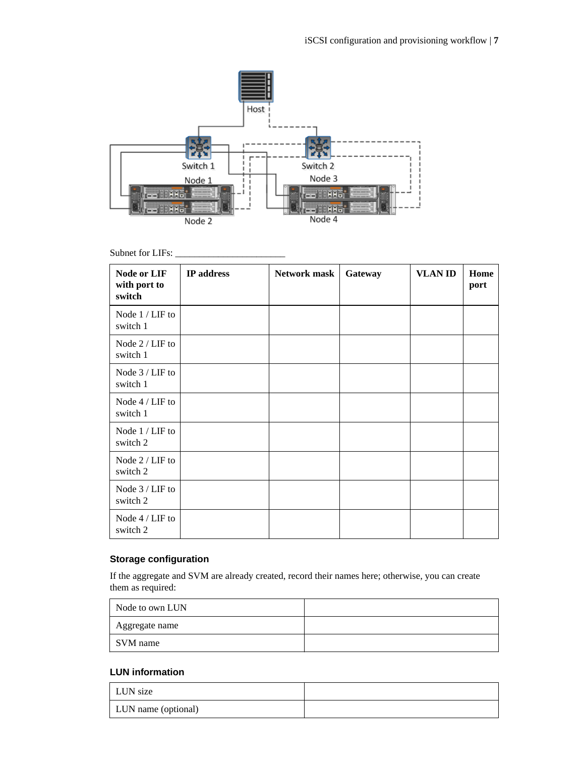

#### Subnet for LIFs:

| Node or LIF<br>with port to<br>switch | IP address | <b>Network mask</b> | Gateway | <b>VLAN ID</b> | Home<br>port |
|---------------------------------------|------------|---------------------|---------|----------------|--------------|
| Node 1 / LIF to<br>switch 1           |            |                     |         |                |              |
| Node 2 / LIF to<br>switch 1           |            |                     |         |                |              |
| Node $3 /$ LIF to<br>switch 1         |            |                     |         |                |              |
| Node 4 / LIF to<br>switch 1           |            |                     |         |                |              |
| Node 1 / LIF to<br>switch 2           |            |                     |         |                |              |
| Node 2 / LIF to<br>switch 2           |            |                     |         |                |              |
| Node 3 / LIF to<br>switch 2           |            |                     |         |                |              |
| Node 4 / LIF to<br>switch 2           |            |                     |         |                |              |

## **Storage configuration**

If the aggregate and SVM are already created, record their names here; otherwise, you can create them as required:

| Node to own LUN |  |
|-----------------|--|
| Aggregate name  |  |
| SVM name        |  |

#### **LUN information**

| LUN size            |  |
|---------------------|--|
| LUN name (optional) |  |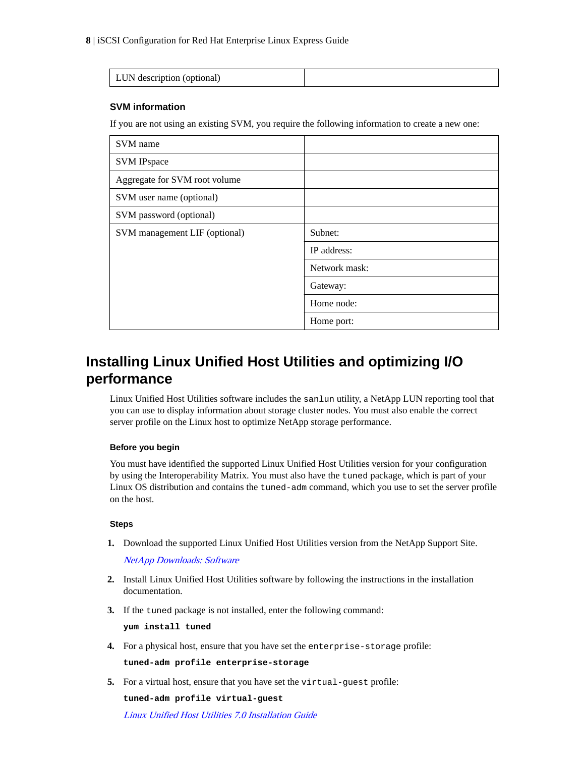<span id="page-7-0"></span>

| $\perp$ LHN description (optional<br>201 |  |
|------------------------------------------|--|

#### **SVM information**

If you are not using an existing SVM, you require the following information to create a new one:

| SVM name                      |               |
|-------------------------------|---------------|
| <b>SVM IPspace</b>            |               |
| Aggregate for SVM root volume |               |
| SVM user name (optional)      |               |
| SVM password (optional)       |               |
| SVM management LIF (optional) | Subnet:       |
|                               | IP address:   |
|                               | Network mask: |
|                               | Gateway:      |
|                               | Home node:    |
|                               | Home port:    |

# **Installing Linux Unified Host Utilities and optimizing I/O performance**

Linux Unified Host Utilities software includes the sanlun utility, a NetApp LUN reporting tool that you can use to display information about storage cluster nodes. You must also enable the correct server profile on the Linux host to optimize NetApp storage performance.

#### **Before you begin**

You must have identified the supported Linux Unified Host Utilities version for your configuration by using the Interoperability Matrix. You must also have the tuned package, which is part of your Linux OS distribution and contains the tuned-adm command, which you use to set the server profile on the host.

#### **Steps**

**1.** Download the supported Linux Unified Host Utilities version from the NetApp Support Site.

[NetApp Downloads: Software](http://mysupport.netapp.com/NOW/cgi-bin/software)

- **2.** Install Linux Unified Host Utilities software by following the instructions in the installation documentation.
- **3.** If the tuned package is not installed, enter the following command:

**yum install tuned**

**4.** For a physical host, ensure that you have set the enterprise-storage profile:

**tuned-adm profile enterprise-storage**

**5.** For a virtual host, ensure that you have set the virtual-guest profile:

**tuned-adm profile virtual-guest**

[Linux Unified Host Utilities 7.0 Installation Guide](https://library.netapp.com/ecm/ecm_download_file/ECMP1654941)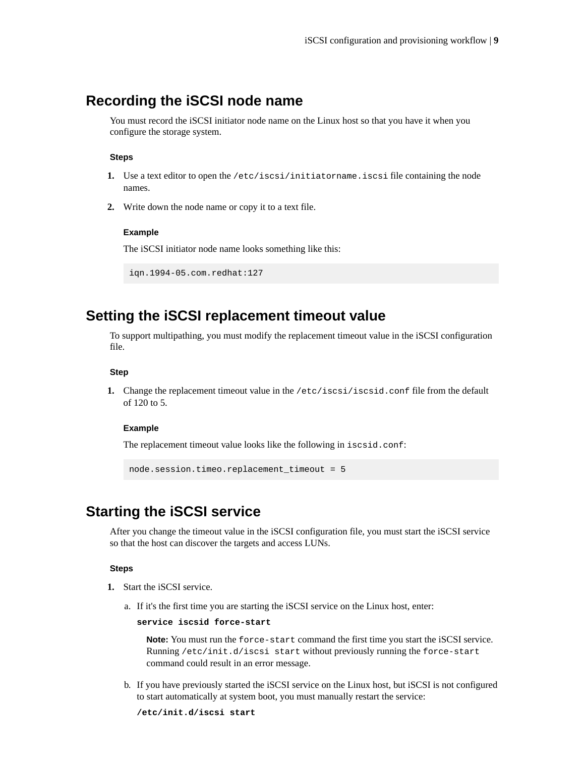## <span id="page-8-0"></span>**Recording the iSCSI node name**

You must record the iSCSI initiator node name on the Linux host so that you have it when you configure the storage system.

#### **Steps**

- **1.** Use a text editor to open the /etc/iscsi/initiatorname.iscsi file containing the node names.
- **2.** Write down the node name or copy it to a text file.

#### **Example**

The iSCSI initiator node name looks something like this:

```
iqn.1994-05.com.redhat:127
```
## **Setting the iSCSI replacement timeout value**

To support multipathing, you must modify the replacement timeout value in the iSCSI configuration file.

#### **Step**

**1.** Change the replacement timeout value in the /etc/iscsi/iscsid.conf file from the default of 120 to 5.

#### **Example**

The replacement timeout value looks like the following in iscsid.conf:

```
node.session.timeo.replacement_timeout = 5
```
# **Starting the iSCSI service**

After you change the timeout value in the iSCSI configuration file, you must start the iSCSI service so that the host can discover the targets and access LUNs.

#### **Steps**

- **1.** Start the iSCSI service.
	- a. If it's the first time you are starting the iSCSI service on the Linux host, enter:

```
service iscsid force-start
```
**Note:** You must run the force-start command the first time you start the iSCSI service. Running /etc/init.d/iscsi start without previously running the force-start command could result in an error message.

b. If you have previously started the iSCSI service on the Linux host, but iSCSI is not configured to start automatically at system boot, you must manually restart the service:

```
/etc/init.d/iscsi start
```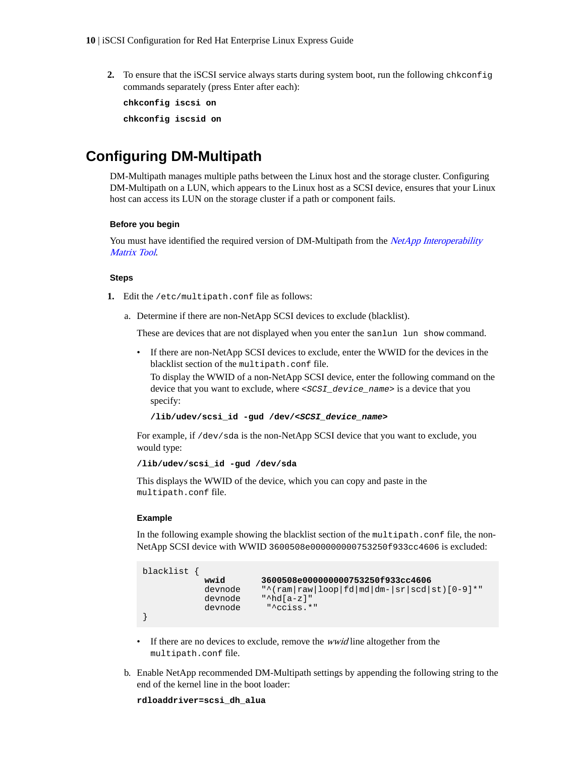<span id="page-9-0"></span>**2.** To ensure that the iSCSI service always starts during system boot, run the following chkconfig commands separately (press Enter after each):

**chkconfig iscsi on**

**chkconfig iscsid on**

# **Configuring DM-Multipath**

DM-Multipath manages multiple paths between the Linux host and the storage cluster. Configuring DM-Multipath on a LUN, which appears to the Linux host as a SCSI device, ensures that your Linux host can access its LUN on the storage cluster if a path or component fails.

#### **Before you begin**

You must have identified the required version of DM-Multipath from the *[NetApp Interoperability](http://mysupport.netapp.com/matrix)* [Matrix Tool](http://mysupport.netapp.com/matrix).

#### **Steps**

- **1.** Edit the /etc/multipath.conf file as follows:
	- a. Determine if there are non-NetApp SCSI devices to exclude (blacklist).

These are devices that are not displayed when you enter the sanlun lun show command.

• If there are non-NetApp SCSI devices to exclude, enter the WWID for the devices in the blacklist section of the multipath.conf file.

To display the WWID of a non-NetApp SCSI device, enter the following command on the device that you want to exclude, where <SCSI\_device\_name> is a device that you specify:

```
/lib/udev/scsi_id -gud /dev/<SCSI_device_name>
```
For example, if /dev/sda is the non-NetApp SCSI device that you want to exclude, you would type:

**/lib/udev/scsi\_id -gud /dev/sda**

This displays the WWID of the device, which you can copy and paste in the multipath.conf file.

#### **Example**

In the following example showing the blacklist section of the multipath.conf file, the non-NetApp SCSI device with WWID 3600508e000000000753250f933cc4606 is excluded:

```
blacklist {
            wwid 3600508e000000000753250f933cc4606
            devnode "^(ram|raw|loop|fd|md|dm-|sr|scd|st)[0-9]*"
            devnode "^hd[a-z]"
            devnode "^cciss.*"
}
```
- If there are no devices to exclude, remove the *wwid* line altogether from the multipath.conf file.
- b. Enable NetApp recommended DM-Multipath settings by appending the following string to the end of the kernel line in the boot loader:

```
rdloaddriver=scsi_dh_alua
```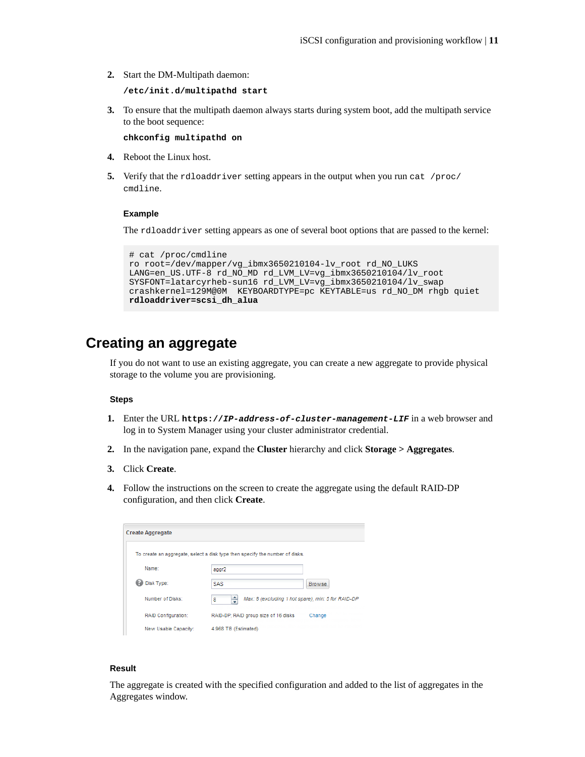<span id="page-10-0"></span>**2.** Start the DM-Multipath daemon:

**/etc/init.d/multipathd start**

**3.** To ensure that the multipath daemon always starts during system boot, add the multipath service to the boot sequence:

**chkconfig multipathd on**

- **4.** Reboot the Linux host.
- **5.** Verify that the rdloaddriver setting appears in the output when you run cat /proc/ cmdline.

#### **Example**

The rdloaddriver setting appears as one of several boot options that are passed to the kernel:

```
# cat /proc/cmdline
ro root=/dev/mapper/vg_ibmx3650210104-lv_root rd_NO_LUKS 
LANG=en_US.UTF-8 rd_NO_MD rd_LVM_LV=vg_ibmx3650210104/lv_root 
SYSFONT=latarcyrheb-sun16 rd_LVM_LV=vg_ibmx3650210104/lv_swap 
crashkernel=129M@0M KEYBOARDTYPE=pc KEYTABLE=us rd_NO_DM rhgb quiet 
rdloaddriver=scsi_dh_alua
```
# **Creating an aggregate**

If you do not want to use an existing aggregate, you can create a new aggregate to provide physical storage to the volume you are provisioning.

#### **Steps**

- **1.** Enter the URL **https://IP-address-of-cluster-management-LIF** in a web browser and log in to System Manager using your cluster administrator credential.
- **2.** In the navigation pane, expand the **Cluster** hierarchy and click **Storage > Aggregates**.
- **3.** Click **Create**.
- **4.** Follow the instructions on the screen to create the aggregate using the default RAID-DP configuration, and then click **Create**.

| <b>Create Aggregate</b>    |                                                                              |               |
|----------------------------|------------------------------------------------------------------------------|---------------|
|                            | To create an aggregate, select a disk type then specify the number of disks. |               |
| Name:                      | aggr2                                                                        |               |
| Disk Type:                 | SAS                                                                          | <b>Browse</b> |
| Number of Disks:           | Max: 8 (excluding 1 hot spare), min: 5 for RAID-DP<br>8                      |               |
| <b>RAID Configuration:</b> | RAID-DP: RAID group size of 16 disks                                         | Change        |
| New Usable Capacity:       | 4.968 TB (Estimated)                                                         |               |

#### **Result**

The aggregate is created with the specified configuration and added to the list of aggregates in the Aggregates window.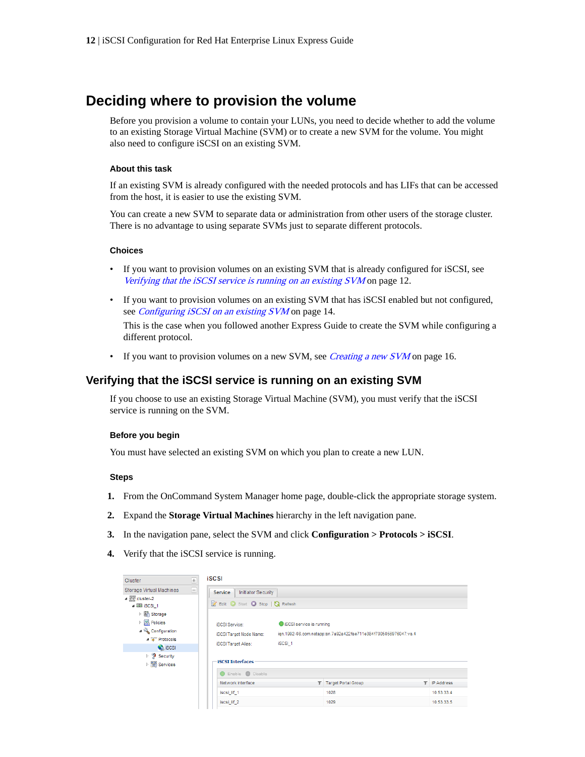# <span id="page-11-0"></span>**Deciding where to provision the volume**

Before you provision a volume to contain your LUNs, you need to decide whether to add the volume to an existing Storage Virtual Machine (SVM) or to create a new SVM for the volume. You might also need to configure iSCSI on an existing SVM.

#### **About this task**

If an existing SVM is already configured with the needed protocols and has LIFs that can be accessed from the host, it is easier to use the existing SVM.

You can create a new SVM to separate data or administration from other users of the storage cluster. There is no advantage to using separate SVMs just to separate different protocols.

#### **Choices**

- If you want to provision volumes on an existing SVM that is already configured for iSCSI, see Verifying that the iSCSI service is running on an existing SVM on page 12.
- If you want to provision volumes on an existing SVM that has iSCSI enabled but not configured, see *[Configuring iSCSI on an existing SVM](#page-13-0)* on page 14.

This is the case when you followed another Express Guide to create the SVM while configuring a different protocol.

• If you want to provision volumes on a new SVM, see *[Creating a new SVM](#page-15-0)* on page 16.

### **Verifying that the iSCSI service is running on an existing SVM**

If you choose to use an existing Storage Virtual Machine (SVM), you must verify that the iSCSI service is running on the SVM.

#### **Before you begin**

You must have selected an existing SVM on which you plan to create a new LUN.

#### **Steps**

- **1.** From the OnCommand System Manager home page, double-click the appropriate storage system.
- **2.** Expand the **Storage Virtual Machines** hierarchy in the left navigation pane.
- **3.** In the navigation pane, select the SVM and click **Configuration > Protocols > iSCSI**.
- **4.** Verify that the iSCSI service is running.

| <b>Cluster</b>                                                                                                                                    |   | <b>iSCSI</b>                                                                          |                                    |                                                                 |   |            |
|---------------------------------------------------------------------------------------------------------------------------------------------------|---|---------------------------------------------------------------------------------------|------------------------------------|-----------------------------------------------------------------|---|------------|
| Storage Virtual Machines<br>$\triangleq$ $\frac{m}{n+1}$ cluster-2<br>4 22 ISCSI 1<br>▷ 圖 Storage                                                 | Θ | <b>Initiator Security</b><br><b>Service</b><br>Edit Start Stop   & Refresh            |                                    |                                                                 |   |            |
| $\triangleright$ $\begin{bmatrix} \frac{ \mathbf{Q} }{ \mathbf{Q} } \end{bmatrix}$ Policies<br>⊿ Configuration<br>4 T Protocols<br><b>Q</b> iscsi |   | <b>iSCSI Service:</b><br><b>iSCSI Target Node Name:</b><br><b>iSCSI Target Alias:</b> | SCSI service is running<br>iSCSI_1 | ign.1992-08.com.netapp:sn.7a92a422fae711e384f7005056976047:vs.4 |   |            |
| $\triangleright$ $\blacksquare$ Security<br>▷ <sup>图</sup> Services                                                                               |   | <b>iSCSI Interfaces</b><br>Enable Disable                                             |                                    |                                                                 |   |            |
|                                                                                                                                                   |   | Network Interface                                                                     |                                    | T Target Portal Group                                           | T | IP Address |
|                                                                                                                                                   |   | iscsi lif 1                                                                           |                                    | 1028                                                            |   | 10.53.33.4 |
|                                                                                                                                                   |   | iscsi_lif_2                                                                           |                                    | 1029                                                            |   | 10.53.33.5 |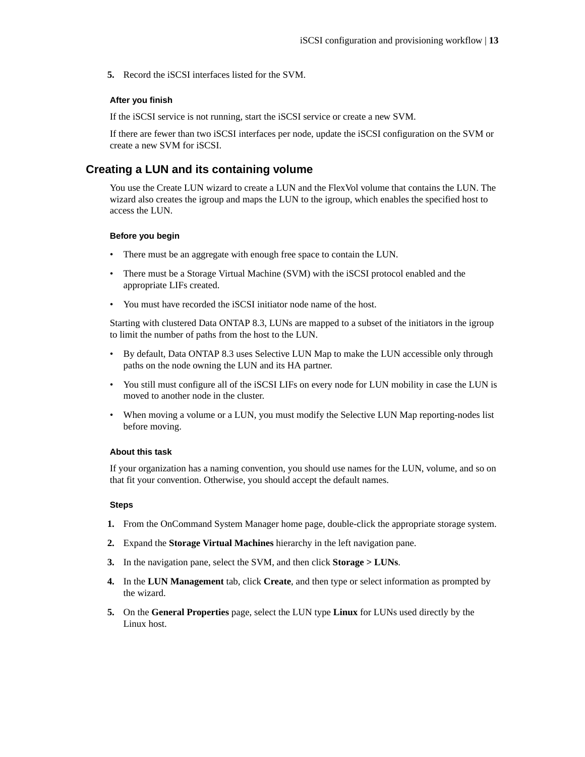<span id="page-12-0"></span>**5.** Record the iSCSI interfaces listed for the SVM.

#### **After you finish**

If the iSCSI service is not running, start the iSCSI service or create a new SVM.

If there are fewer than two iSCSI interfaces per node, update the iSCSI configuration on the SVM or create a new SVM for iSCSI.

#### **Creating a LUN and its containing volume**

You use the Create LUN wizard to create a LUN and the FlexVol volume that contains the LUN. The wizard also creates the igroup and maps the LUN to the igroup, which enables the specified host to access the LUN.

#### **Before you begin**

- There must be an aggregate with enough free space to contain the LUN.
- There must be a Storage Virtual Machine (SVM) with the iSCSI protocol enabled and the appropriate LIFs created.
- You must have recorded the iSCSI initiator node name of the host.

Starting with clustered Data ONTAP 8.3, LUNs are mapped to a subset of the initiators in the igroup to limit the number of paths from the host to the LUN.

- By default, Data ONTAP 8.3 uses Selective LUN Map to make the LUN accessible only through paths on the node owning the LUN and its HA partner.
- You still must configure all of the iSCSI LIFs on every node for LUN mobility in case the LUN is moved to another node in the cluster.
- When moving a volume or a LUN, you must modify the Selective LUN Map reporting-nodes list before moving.

#### **About this task**

If your organization has a naming convention, you should use names for the LUN, volume, and so on that fit your convention. Otherwise, you should accept the default names.

#### **Steps**

- **1.** From the OnCommand System Manager home page, double-click the appropriate storage system.
- **2.** Expand the **Storage Virtual Machines** hierarchy in the left navigation pane.
- **3.** In the navigation pane, select the SVM, and then click **Storage > LUNs**.
- **4.** In the **LUN Management** tab, click **Create**, and then type or select information as prompted by the wizard.
- **5.** On the **General Properties** page, select the LUN type **Linux** for LUNs used directly by the Linux host.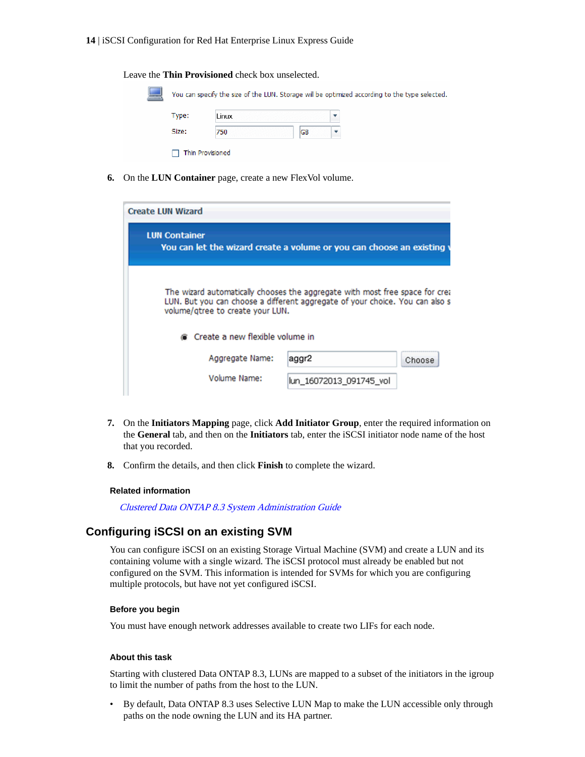#### <span id="page-13-0"></span>**14** | iSCSI Configuration for Red Hat Enterprise Linux Express Guide

Leave the **Thin Provisioned** check box unselected.

| Type: | Linux |    |  |
|-------|-------|----|--|
|       |       |    |  |
| Size: | 750   | GB |  |

**6.** On the **LUN Container** page, create a new FlexVol volume.

| <b>Create LUN Wizard</b>                                                                                                                                                                         |                         |        |
|--------------------------------------------------------------------------------------------------------------------------------------------------------------------------------------------------|-------------------------|--------|
| <b>LUN Container</b><br>You can let the wizard create a volume or you can choose an existing                                                                                                     |                         |        |
| The wizard automatically chooses the aggregate with most free space for crea<br>LUN. But you can choose a different aggregate of your choice. You can also s<br>volume/gtree to create your LUN. |                         |        |
| Create a new flexible volume in                                                                                                                                                                  |                         |        |
| Aggregate Name:                                                                                                                                                                                  | aggr2                   | Choose |
| Volume Name:                                                                                                                                                                                     | lun 16072013 091745 vol |        |

- **7.** On the **Initiators Mapping** page, click **Add Initiator Group**, enter the required information on the **General** tab, and then on the **Initiators** tab, enter the iSCSI initiator node name of the host that you recorded.
- **8.** Confirm the details, and then click **Finish** to complete the wizard.

#### **Related information**

[Clustered Data ONTAP 8.3 System Administration Guide](https://library.netapp.com/ecm/ecm_download_file/ECMP12458569)

#### **Configuring iSCSI on an existing SVM**

You can configure iSCSI on an existing Storage Virtual Machine (SVM) and create a LUN and its containing volume with a single wizard. The iSCSI protocol must already be enabled but not configured on the SVM. This information is intended for SVMs for which you are configuring multiple protocols, but have not yet configured iSCSI.

#### **Before you begin**

You must have enough network addresses available to create two LIFs for each node.

#### **About this task**

Starting with clustered Data ONTAP 8.3, LUNs are mapped to a subset of the initiators in the igroup to limit the number of paths from the host to the LUN.

• By default, Data ONTAP 8.3 uses Selective LUN Map to make the LUN accessible only through paths on the node owning the LUN and its HA partner.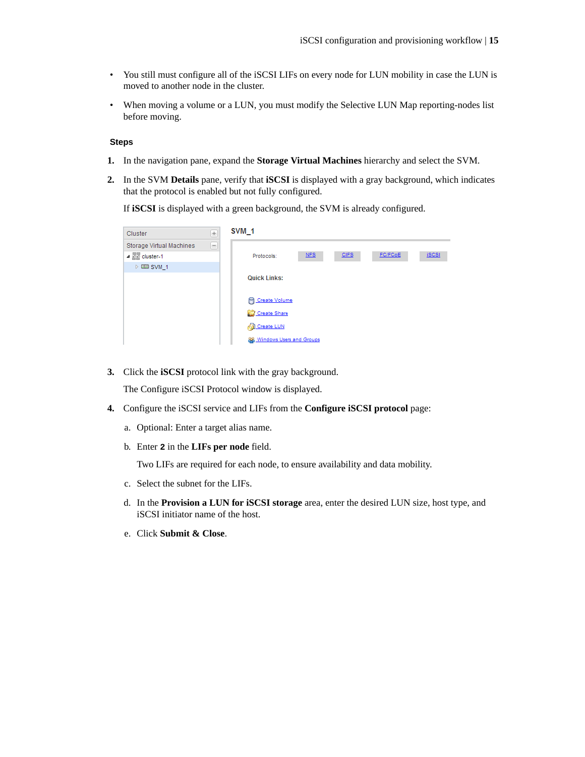- You still must configure all of the iSCSI LIFs on every node for LUN mobility in case the LUN is moved to another node in the cluster.
- When moving a volume or a LUN, you must modify the Selective LUN Map reporting-nodes list before moving.

#### **Steps**

- **1.** In the navigation pane, expand the **Storage Virtual Machines** hierarchy and select the SVM.
- **2.** In the SVM **Details** pane, verify that **iSCSI** is displayed with a gray background, which indicates that the protocol is enabled but not fully configured.

If **iSCSI** is displayed with a green background, the SVM is already configured.

| Cluster                              | $\pm$                    | SVM <sub>1</sub>                                            |
|--------------------------------------|--------------------------|-------------------------------------------------------------|
| Storage Virtual Machines             | $\overline{\phantom{0}}$ |                                                             |
| $\triangleq \frac{m}{n+1}$ cluster-1 |                          | FC/FCoE<br>NFS<br><b>CIFS</b><br><b>iSCSI</b><br>Protocols: |
| $\triangleright$ EE SVM 1            |                          |                                                             |
|                                      |                          | <b>Quick Links:</b>                                         |
|                                      |                          |                                                             |
|                                      |                          | <b>P</b> Create Volume                                      |
|                                      |                          | Create Share                                                |
|                                      |                          | <b>Create LUN</b>                                           |
|                                      |                          | 88 Windows Users and Groups                                 |

**3.** Click the **iSCSI** protocol link with the gray background.

The Configure iSCSI Protocol window is displayed.

- **4.** Configure the iSCSI service and LIFs from the **Configure iSCSI protocol** page:
	- a. Optional: Enter a target alias name.
	- b. Enter **2** in the **LIFs per node** field.

Two LIFs are required for each node, to ensure availability and data mobility.

- c. Select the subnet for the LIFs.
- d. In the **Provision a LUN for iSCSI storage** area, enter the desired LUN size, host type, and iSCSI initiator name of the host.
- e. Click **Submit & Close**.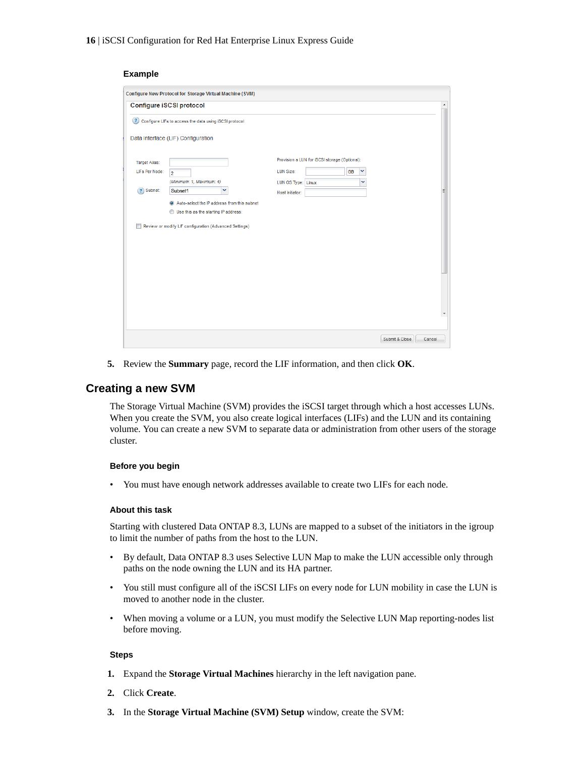#### <span id="page-15-0"></span>**Example**

|                      | Configure New Protocol for Storage Virtual Machine (SVM) |                                               |   |
|----------------------|----------------------------------------------------------|-----------------------------------------------|---|
|                      | Configure iSCSI protocol                                 |                                               | ۸ |
|                      | ? Configure LIFs to access the data using iSCSI protocol |                                               |   |
|                      | Data Interface (LIF) Configuration                       |                                               |   |
| <b>Target Alias:</b> |                                                          | Provision a LUN for iSCSI storage (Optional): |   |
| LIFs Per Node:       | $\overline{a}$                                           | <b>LUN Size:</b><br>×<br><b>GB</b>            |   |
|                      | (Minimum: 1, Maximum: 4)                                 | v<br>LUN OS Type: Linux                       |   |
| ?) Subnet:           | v<br>Subnet1                                             | Host Initiator:                               | Ξ |
|                      | Auto-select the IP address from this subnet              |                                               |   |
|                      | Use this as the starting IP address:<br>⊙                |                                               |   |
|                      | Review or modify LIF configuration (Advanced Settings)   |                                               |   |
|                      |                                                          |                                               |   |
|                      |                                                          |                                               |   |
|                      |                                                          |                                               |   |
|                      |                                                          |                                               |   |
|                      |                                                          |                                               | ٠ |
|                      |                                                          |                                               |   |
|                      |                                                          |                                               |   |
|                      |                                                          | Submit & Close<br>Cancel                      |   |

**5.** Review the **Summary** page, record the LIF information, and then click **OK**.

### **Creating a new SVM**

The Storage Virtual Machine (SVM) provides the iSCSI target through which a host accesses LUNs. When you create the SVM, you also create logical interfaces (LIFs) and the LUN and its containing volume. You can create a new SVM to separate data or administration from other users of the storage cluster.

#### **Before you begin**

• You must have enough network addresses available to create two LIFs for each node.

#### **About this task**

Starting with clustered Data ONTAP 8.3, LUNs are mapped to a subset of the initiators in the igroup to limit the number of paths from the host to the LUN.

- By default, Data ONTAP 8.3 uses Selective LUN Map to make the LUN accessible only through paths on the node owning the LUN and its HA partner.
- You still must configure all of the iSCSI LIFs on every node for LUN mobility in case the LUN is moved to another node in the cluster.
- When moving a volume or a LUN, you must modify the Selective LUN Map reporting-nodes list before moving.

#### **Steps**

- **1.** Expand the **Storage Virtual Machines** hierarchy in the left navigation pane.
- **2.** Click **Create**.
- **3.** In the **Storage Virtual Machine (SVM) Setup** window, create the SVM: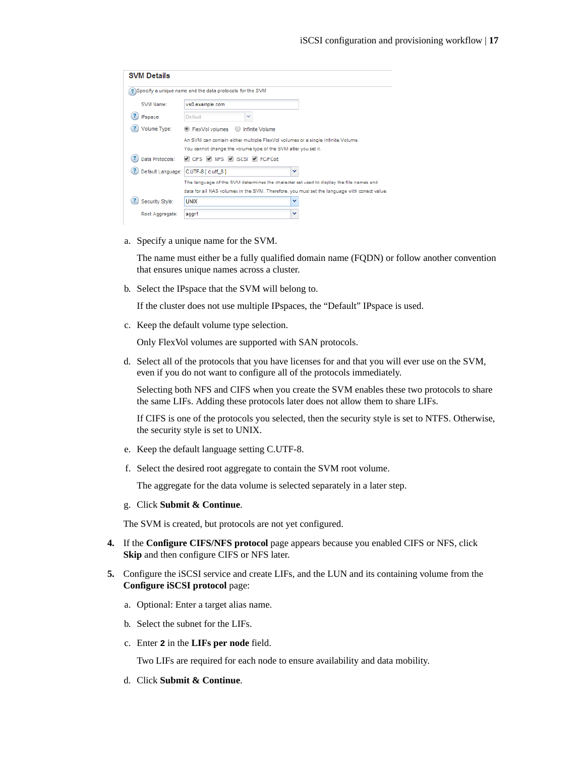| <b>SVM Details</b> |                                                                                               |   |
|--------------------|-----------------------------------------------------------------------------------------------|---|
|                    | Specify a unique name and the data protocols for the SVM                                      |   |
| SVM Name:          | vs0.example.com                                                                               |   |
| <b>IPspace:</b>    | Default<br>v                                                                                  |   |
| Volume Type:       | <b>ElexVolvolumes</b><br>Infinite Volume                                                      |   |
|                    | An SVM can contain either multiple FlexVol volumes or a single Infinite Volume.               |   |
|                    | You cannot change the volume type of the SVM after you set it.                                |   |
| Data Protocols:    | CIFS VINFS VISCSI VIFC/FCoE                                                                   |   |
|                    | Default Language: C.UTF-8 [ c.utf 8]                                                          | v |
|                    | The language of the SVM determines the character set used to display the file names and       |   |
|                    | data for all NAS volumes in the SVM. Therefore, you must set the language with correct value. |   |
| Security Style:    | <b>UNIX</b>                                                                                   | v |
| Root Aggregate:    | aggr1                                                                                         | v |

a. Specify a unique name for the SVM.

The name must either be a fully qualified domain name (FQDN) or follow another convention that ensures unique names across a cluster.

b. Select the IPspace that the SVM will belong to.

If the cluster does not use multiple IPspaces, the "Default" IPspace is used.

c. Keep the default volume type selection.

Only FlexVol volumes are supported with SAN protocols.

d. Select all of the protocols that you have licenses for and that you will ever use on the SVM, even if you do not want to configure all of the protocols immediately.

Selecting both NFS and CIFS when you create the SVM enables these two protocols to share the same LIFs. Adding these protocols later does not allow them to share LIFs.

If CIFS is one of the protocols you selected, then the security style is set to NTFS. Otherwise, the security style is set to UNIX.

- e. Keep the default language setting C.UTF-8.
- f. Select the desired root aggregate to contain the SVM root volume.

The aggregate for the data volume is selected separately in a later step.

g. Click **Submit & Continue**.

The SVM is created, but protocols are not yet configured.

- **4.** If the **Configure CIFS/NFS protocol** page appears because you enabled CIFS or NFS, click **Skip** and then configure CIFS or NFS later.
- **5.** Configure the iSCSI service and create LIFs, and the LUN and its containing volume from the **Configure iSCSI protocol** page:
	- a. Optional: Enter a target alias name.
	- b. Select the subnet for the LIFs.
	- c. Enter **2** in the **LIFs per node** field.

Two LIFs are required for each node to ensure availability and data mobility.

d. Click **Submit & Continue**.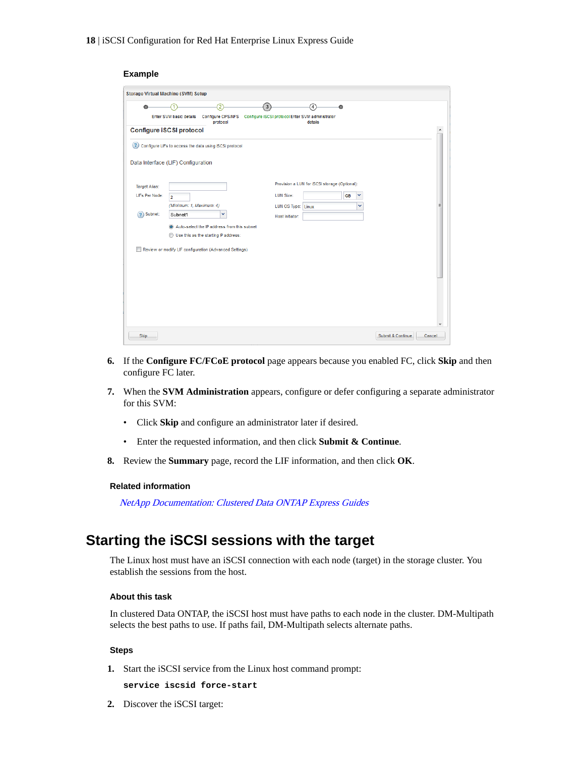#### <span id="page-17-0"></span>**Example**

| <b>Storage Virtual Machine (SVM) Setup</b>                                                                                      |                          |                                                        |                  |                    |                                               |           |   |                   |                  |
|---------------------------------------------------------------------------------------------------------------------------------|--------------------------|--------------------------------------------------------|------------------|--------------------|-----------------------------------------------|-----------|---|-------------------|------------------|
|                                                                                                                                 |                          | 2                                                      | $\left  \right $ |                    | 4                                             |           |   |                   |                  |
| Configure iSCSI protocol Enter SVM administrator<br><b>Enter SVM basic details</b><br>Configure CIFS/NFS<br>protocol<br>details |                          |                                                        |                  |                    |                                               |           |   |                   |                  |
| Configure iSCSI protocol                                                                                                        |                          |                                                        |                  |                    |                                               |           |   |                   | $\blacktriangle$ |
| (2)                                                                                                                             |                          | Configure LIFs to access the data using iSCSI protocol |                  |                    |                                               |           |   |                   |                  |
| Data Interface (LIF) Configuration                                                                                              |                          |                                                        |                  |                    |                                               |           |   |                   |                  |
| <b>Target Alias:</b>                                                                                                            |                          |                                                        |                  |                    | Provision a LUN for iSCSI storage (Optional): |           |   |                   |                  |
| LIFs Per Node:                                                                                                                  | $\overline{2}$           |                                                        |                  | <b>LUN Size:</b>   |                                               | <b>GB</b> | v |                   |                  |
|                                                                                                                                 | (Minimum: 1, Maximum: 4) |                                                        |                  | LUN OS Type: Linux |                                               | v         |   |                   | Ξ                |
| Subnet:<br>$\left( 2\right)$                                                                                                    | Subnet1                  | v                                                      |                  | Host Initiator:    |                                               |           |   |                   |                  |
|                                                                                                                                 |                          | Auto-select the IP address from this subnet            |                  |                    |                                               |           |   |                   |                  |
|                                                                                                                                 |                          | Use this as the starting IP address:                   |                  |                    |                                               |           |   |                   |                  |
|                                                                                                                                 |                          | Review or modify LIF configuration (Advanced Settings) |                  |                    |                                               |           |   |                   |                  |
|                                                                                                                                 |                          |                                                        |                  |                    |                                               |           |   |                   |                  |
|                                                                                                                                 |                          |                                                        |                  |                    |                                               |           |   |                   |                  |
|                                                                                                                                 |                          |                                                        |                  |                    |                                               |           |   |                   |                  |
|                                                                                                                                 |                          |                                                        |                  |                    |                                               |           |   |                   |                  |
|                                                                                                                                 |                          |                                                        |                  |                    |                                               |           |   |                   |                  |
|                                                                                                                                 |                          |                                                        |                  |                    |                                               |           |   |                   |                  |
|                                                                                                                                 |                          |                                                        |                  |                    |                                               |           |   |                   |                  |
| Skip                                                                                                                            |                          |                                                        |                  |                    |                                               |           |   | Submit & Continue | Cancel           |

- **6.** If the **Configure FC/FCoE protocol** page appears because you enabled FC, click **Skip** and then configure FC later.
- **7.** When the **SVM Administration** appears, configure or defer configuring a separate administrator for this SVM:
	- Click **Skip** and configure an administrator later if desired.
	- Enter the requested information, and then click **Submit & Continue**.
- **8.** Review the **Summary** page, record the LIF information, and then click **OK**.

#### **Related information**

[NetApp Documentation: Clustered Data ONTAP Express Guides](http://mysupport.netapp.com/documentation/docweb/index.html?productID=61885)

# **Starting the iSCSI sessions with the target**

The Linux host must have an iSCSI connection with each node (target) in the storage cluster. You establish the sessions from the host.

#### **About this task**

In clustered Data ONTAP, the iSCSI host must have paths to each node in the cluster. DM-Multipath selects the best paths to use. If paths fail, DM-Multipath selects alternate paths.

#### **Steps**

**1.** Start the iSCSI service from the Linux host command prompt:

**service iscsid force-start**

**2.** Discover the iSCSI target: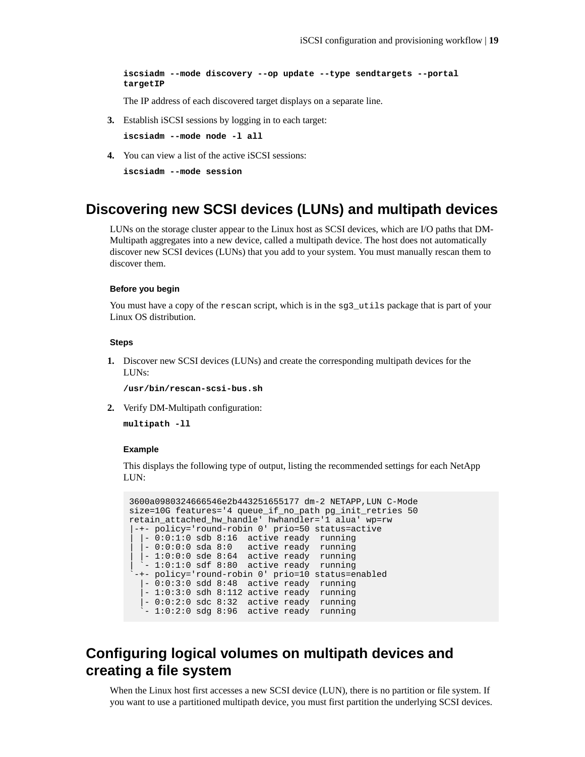<span id="page-18-0"></span>**iscsiadm --mode discovery --op update --type sendtargets --portal targetIP**

The IP address of each discovered target displays on a separate line.

**3.** Establish iSCSI sessions by logging in to each target:

**iscsiadm --mode node -l all**

**4.** You can view a list of the active iSCSI sessions:

**iscsiadm --mode session**

## **Discovering new SCSI devices (LUNs) and multipath devices**

LUNs on the storage cluster appear to the Linux host as SCSI devices, which are I/O paths that DM-Multipath aggregates into a new device, called a multipath device. The host does not automatically discover new SCSI devices (LUNs) that you add to your system. You must manually rescan them to discover them.

#### **Before you begin**

You must have a copy of the rescan script, which is in the sg3\_utils package that is part of your Linux OS distribution.

#### **Steps**

**1.** Discover new SCSI devices (LUNs) and create the corresponding multipath devices for the LUNs:

**/usr/bin/rescan-scsi-bus.sh**

**2.** Verify DM-Multipath configuration:

**multipath -ll**

#### **Example**

This displays the following type of output, listing the recommended settings for each NetApp LUN:

```
3600a0980324666546e2b443251655177 dm-2 NETAPP,LUN C-Mode
size=10G features='4 queue_if_no_path pg_init_retries 50 
retain_attached_hw_handle' hwhandler='1 alua' wp=rw
 |-+- policy='round-robin 0' prio=50 status=active
  \vert -0:0:1:0 sdb 8:16 active ready running
  \vert - 0:0:0:0 sda 8:0 active ready running
| |- 1:0:0:0 sde 8:64 active ready running
| `- 1:0:1:0 sdf 8:80 active ready running
`-+- policy='round-robin 0' prio=10 status=enabled
   |- 0:0:3:0 sdd 8:48 active ready running
  - 1:0:3:0 sdh 8:112 active ready running
 |- 0:0:2:0 sdc 8:32 active ready running
 `- 1:0:2:0 sdg 8:96 active ready running
```
# **Configuring logical volumes on multipath devices and creating a file system**

When the Linux host first accesses a new SCSI device (LUN), there is no partition or file system. If you want to use a partitioned multipath device, you must first partition the underlying SCSI devices.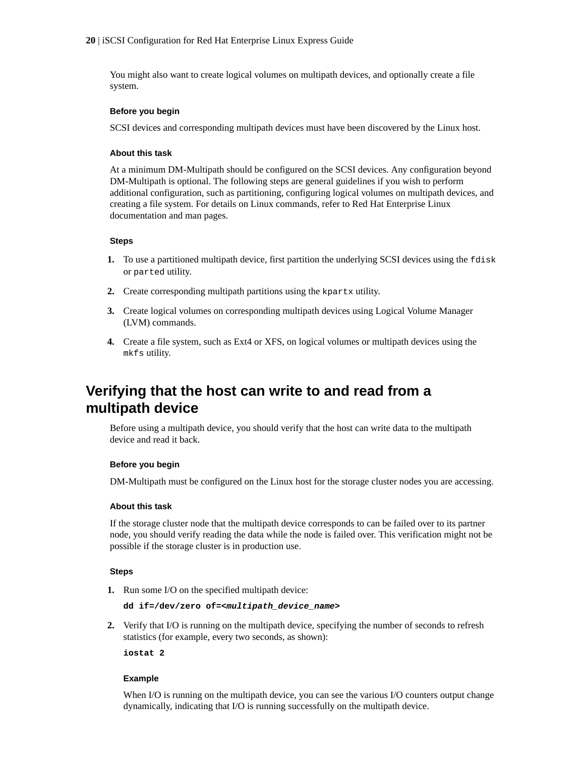<span id="page-19-0"></span>You might also want to create logical volumes on multipath devices, and optionally create a file system.

#### **Before you begin**

SCSI devices and corresponding multipath devices must have been discovered by the Linux host.

#### **About this task**

At a minimum DM-Multipath should be configured on the SCSI devices. Any configuration beyond DM-Multipath is optional. The following steps are general guidelines if you wish to perform additional configuration, such as partitioning, configuring logical volumes on multipath devices, and creating a file system. For details on Linux commands, refer to Red Hat Enterprise Linux documentation and man pages.

#### **Steps**

- **1.** To use a partitioned multipath device, first partition the underlying SCSI devices using the fdisk or parted utility.
- **2.** Create corresponding multipath partitions using the kpartx utility.
- **3.** Create logical volumes on corresponding multipath devices using Logical Volume Manager (LVM) commands.
- **4.** Create a file system, such as Ext4 or XFS, on logical volumes or multipath devices using the mkfs utility.

# **Verifying that the host can write to and read from a multipath device**

Before using a multipath device, you should verify that the host can write data to the multipath device and read it back.

#### **Before you begin**

DM-Multipath must be configured on the Linux host for the storage cluster nodes you are accessing.

#### **About this task**

If the storage cluster node that the multipath device corresponds to can be failed over to its partner node, you should verify reading the data while the node is failed over. This verification might not be possible if the storage cluster is in production use.

#### **Steps**

**1.** Run some I/O on the specified multipath device:

```
dd if=/dev/zero of=<multipath_device_name>
```
**2.** Verify that I/O is running on the multipath device, specifying the number of seconds to refresh statistics (for example, every two seconds, as shown):

**iostat 2**

#### **Example**

When I/O is running on the multipath device, you can see the various I/O counters output change dynamically, indicating that I/O is running successfully on the multipath device.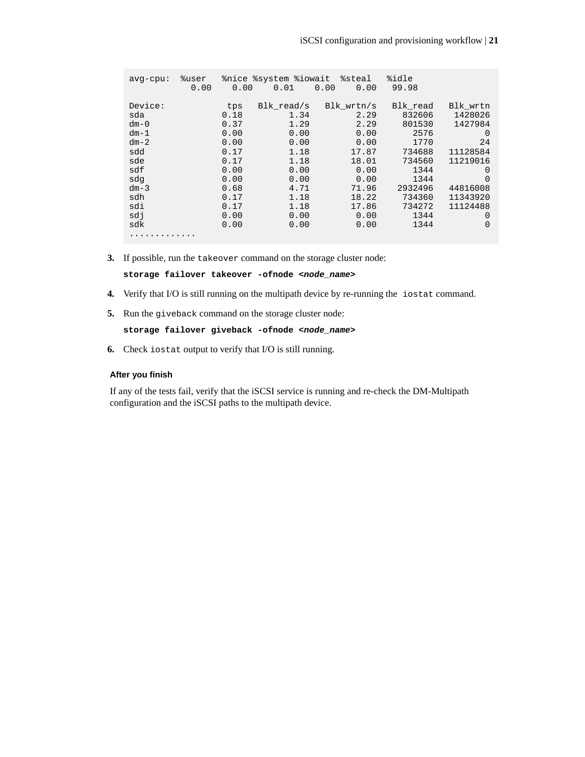| $avg$ -cpu:                                                                                                      | %user<br>0.00 | 0.00                                                                                                        | %nice %system %iowait<br>0.01                                                                                      | %steal<br>0.00<br>0.00                                                                                                  | %idle<br>99.98                                                                                                                  |                                                                                                                                                       |
|------------------------------------------------------------------------------------------------------------------|---------------|-------------------------------------------------------------------------------------------------------------|--------------------------------------------------------------------------------------------------------------------|-------------------------------------------------------------------------------------------------------------------------|---------------------------------------------------------------------------------------------------------------------------------|-------------------------------------------------------------------------------------------------------------------------------------------------------|
| Device:<br>sda<br>$dm - 0$<br>$dm-1$<br>$dm-2$<br>sdd<br>sde<br>sdf<br>sdq<br>$dm-3$<br>sdh<br>sdi<br>sdi<br>sdk |               | tps<br>0.18<br>0.37<br>0.00<br>0.00<br>0.17<br>0.17<br>0.00<br>0.00<br>0.68<br>0.17<br>0.17<br>0.00<br>0.00 | Blk read/s<br>1.34<br>1.29<br>0.00<br>0.00<br>1.18<br>1.18<br>0.00<br>0.00<br>4.71<br>1.18<br>1.18<br>0.00<br>0.00 | Blk wrtn/s<br>2.29<br>2.29<br>0.00<br>0.00<br>17.87<br>18.01<br>0.00<br>0.00<br>71.96<br>18.22<br>17.86<br>0.00<br>0.00 | Blk read<br>832606<br>801530<br>2576<br>1770<br>734688<br>734560<br>1344<br>1344<br>2932496<br>734360<br>734272<br>1344<br>1344 | Blk wrtn<br>1428026<br>1427984<br>$\Omega$<br>24<br>11128584<br>11219016<br>$\Omega$<br>$\Omega$<br>44816008<br>11343920<br>11124488<br>0<br>$\Omega$ |
|                                                                                                                  |               |                                                                                                             |                                                                                                                    |                                                                                                                         |                                                                                                                                 |                                                                                                                                                       |

**3.** If possible, run the takeover command on the storage cluster node:

**storage failover takeover -ofnode <node\_name>**

- **4.** Verify that I/O is still running on the multipath device by re-running the iostat command.
- **5.** Run the giveback command on the storage cluster node:

**storage failover giveback -ofnode <node\_name>**

**6.** Check iostat output to verify that I/O is still running.

#### **After you finish**

If any of the tests fail, verify that the iSCSI service is running and re-check the DM-Multipath configuration and the iSCSI paths to the multipath device.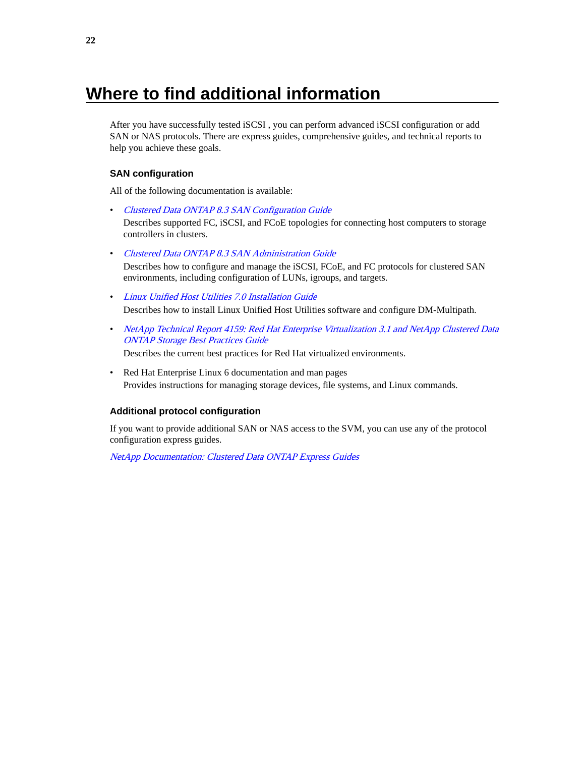# <span id="page-21-0"></span>**Where to find additional information**

After you have successfully tested iSCSI , you can perform advanced iSCSI configuration or add SAN or NAS protocols. There are express guides, comprehensive guides, and technical reports to help you achieve these goals.

#### **SAN configuration**

All of the following documentation is available:

- [Clustered Data ONTAP 8.3 SAN Configuration Guide](https://library.netapp.com/ecm/ecm_download_file/ECMP12458217) Describes supported FC, iSCSI, and FCoE topologies for connecting host computers to storage controllers in clusters.
- [Clustered Data ONTAP 8.3 SAN Administration Guide](https://library.netapp.com/ecm/ecm_download_file/ECMP12458215) Describes how to configure and manage the iSCSI, FCoE, and FC protocols for clustered SAN environments, including configuration of LUNs, igroups, and targets.
- [Linux Unified Host Utilities 7.0 Installation Guide](https://library.netapp.com/ecm/ecm_download_file/ECMP1654941) Describes how to install Linux Unified Host Utilities software and configure DM-Multipath.
- [NetApp Technical Report 4159: Red Hat Enterprise Virtualization 3.1 and NetApp Clustered Data](http://www.netapp.com/us/media/tr-4159.pdf) [ONTAP Storage Best Practices Guide](http://www.netapp.com/us/media/tr-4159.pdf)

Describes the current best practices for Red Hat virtualized environments.

• Red Hat Enterprise Linux 6 documentation and man pages Provides instructions for managing storage devices, file systems, and Linux commands.

#### **Additional protocol configuration**

If you want to provide additional SAN or NAS access to the SVM, you can use any of the protocol configuration express guides.

[NetApp Documentation: Clustered Data ONTAP Express Guides](http://mysupport.netapp.com/documentation/docweb/index.html?productID=61885)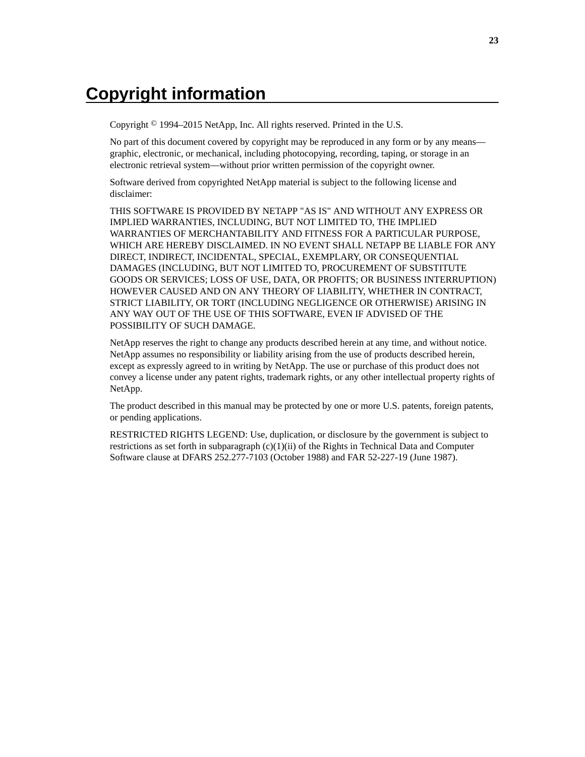# <span id="page-22-0"></span>**Copyright information**

Copyright © 1994–2015 NetApp, Inc. All rights reserved. Printed in the U.S.

No part of this document covered by copyright may be reproduced in any form or by any means graphic, electronic, or mechanical, including photocopying, recording, taping, or storage in an electronic retrieval system—without prior written permission of the copyright owner.

Software derived from copyrighted NetApp material is subject to the following license and disclaimer:

THIS SOFTWARE IS PROVIDED BY NETAPP "AS IS" AND WITHOUT ANY EXPRESS OR IMPLIED WARRANTIES, INCLUDING, BUT NOT LIMITED TO, THE IMPLIED WARRANTIES OF MERCHANTABILITY AND FITNESS FOR A PARTICULAR PURPOSE, WHICH ARE HEREBY DISCLAIMED. IN NO EVENT SHALL NETAPP BE LIABLE FOR ANY DIRECT, INDIRECT, INCIDENTAL, SPECIAL, EXEMPLARY, OR CONSEQUENTIAL DAMAGES (INCLUDING, BUT NOT LIMITED TO, PROCUREMENT OF SUBSTITUTE GOODS OR SERVICES; LOSS OF USE, DATA, OR PROFITS; OR BUSINESS INTERRUPTION) HOWEVER CAUSED AND ON ANY THEORY OF LIABILITY, WHETHER IN CONTRACT, STRICT LIABILITY, OR TORT (INCLUDING NEGLIGENCE OR OTHERWISE) ARISING IN ANY WAY OUT OF THE USE OF THIS SOFTWARE, EVEN IF ADVISED OF THE POSSIBILITY OF SUCH DAMAGE.

NetApp reserves the right to change any products described herein at any time, and without notice. NetApp assumes no responsibility or liability arising from the use of products described herein, except as expressly agreed to in writing by NetApp. The use or purchase of this product does not convey a license under any patent rights, trademark rights, or any other intellectual property rights of NetApp.

The product described in this manual may be protected by one or more U.S. patents, foreign patents, or pending applications.

RESTRICTED RIGHTS LEGEND: Use, duplication, or disclosure by the government is subject to restrictions as set forth in subparagraph  $(c)(1)(ii)$  of the Rights in Technical Data and Computer Software clause at DFARS 252.277-7103 (October 1988) and FAR 52-227-19 (June 1987).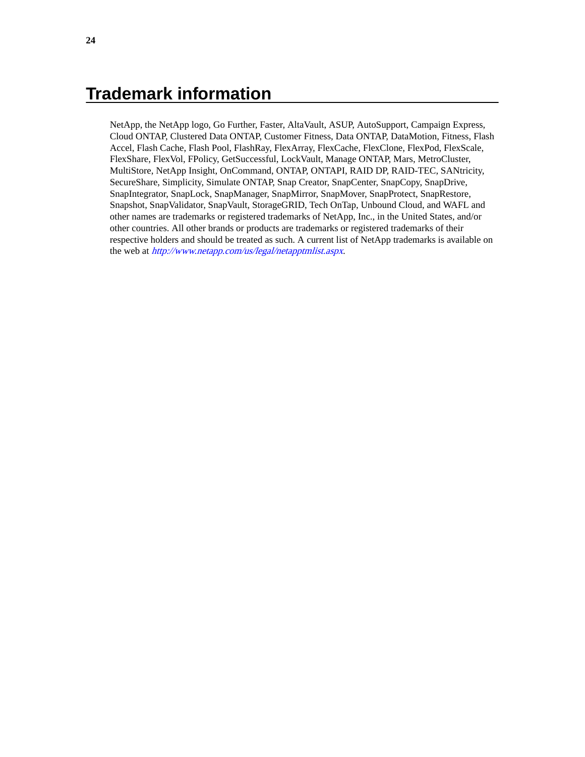# <span id="page-23-0"></span>**Trademark information**

NetApp, the NetApp logo, Go Further, Faster, AltaVault, ASUP, AutoSupport, Campaign Express, Cloud ONTAP, Clustered Data ONTAP, Customer Fitness, Data ONTAP, DataMotion, Fitness, Flash Accel, Flash Cache, Flash Pool, FlashRay, FlexArray, FlexCache, FlexClone, FlexPod, FlexScale, FlexShare, FlexVol, FPolicy, GetSuccessful, LockVault, Manage ONTAP, Mars, MetroCluster, MultiStore, NetApp Insight, OnCommand, ONTAP, ONTAPI, RAID DP, RAID-TEC, SANtricity, SecureShare, Simplicity, Simulate ONTAP, Snap Creator, SnapCenter, SnapCopy, SnapDrive, SnapIntegrator, SnapLock, SnapManager, SnapMirror, SnapMover, SnapProtect, SnapRestore, Snapshot, SnapValidator, SnapVault, StorageGRID, Tech OnTap, Unbound Cloud, and WAFL and other names are trademarks or registered trademarks of NetApp, Inc., in the United States, and/or other countries. All other brands or products are trademarks or registered trademarks of their respective holders and should be treated as such. A current list of NetApp trademarks is available on the web at <http://www.netapp.com/us/legal/netapptmlist.aspx>.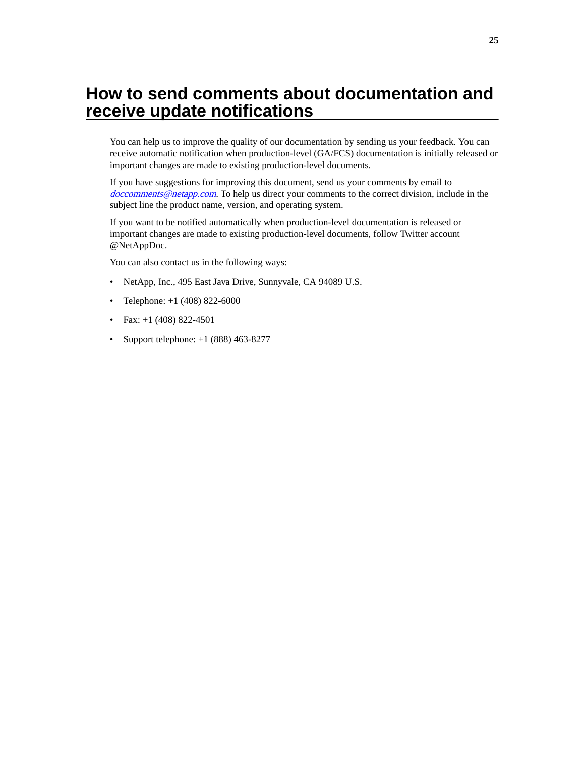# <span id="page-24-0"></span>**How to send comments about documentation and receive update notifications**

You can help us to improve the quality of our documentation by sending us your feedback. You can receive automatic notification when production-level (GA/FCS) documentation is initially released or important changes are made to existing production-level documents.

If you have suggestions for improving this document, send us your comments by email to [doccomments@netapp.com](mailto:doccomments@netapp.com). To help us direct your comments to the correct division, include in the subject line the product name, version, and operating system.

If you want to be notified automatically when production-level documentation is released or important changes are made to existing production-level documents, follow Twitter account @NetAppDoc.

You can also contact us in the following ways:

- NetApp, Inc., 495 East Java Drive, Sunnyvale, CA 94089 U.S.
- Telephone:  $+1$  (408) 822-6000
- Fax:  $+1$  (408) 822-4501
- Support telephone:  $+1$  (888) 463-8277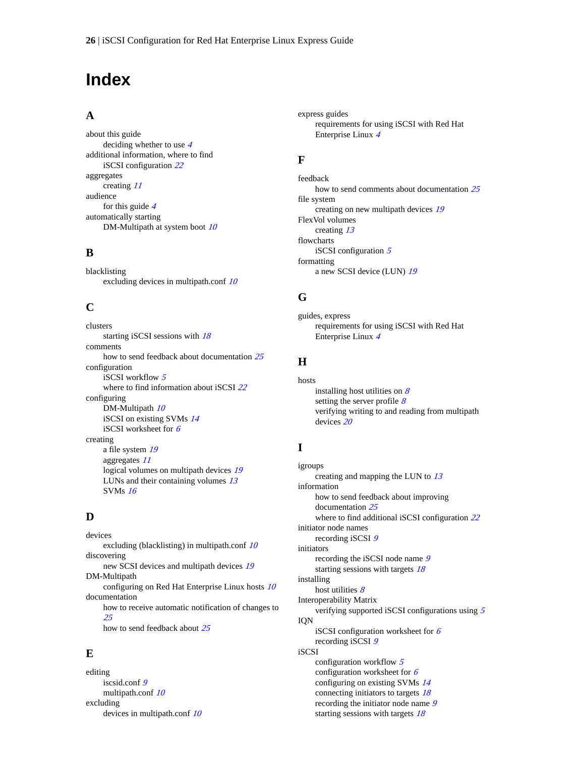# <span id="page-25-0"></span>**Index**

#### **A**

about this guide deciding whether to use [4](#page-3-0) additional information, where to find iSCSI configuration [22](#page-21-0) aggregates creating [11](#page-10-0) audience for this guide  $4$ automatically starting DM-Multipath at system boot  $10$ 

### **B**

blacklisting excluding devices in multipath.conf [10](#page-9-0)

### **C**

clusters starting iSCSI sessions with [18](#page-17-0) comments how to send feedback about documentation  $25$ configuration iSCSI workflow [5](#page-4-0) where to find information about iSCSI [22](#page-21-0) configuring DM-Multipath  $10$ iSCSI on existing SVMs [14](#page-13-0) iSCSI worksheet for [6](#page-5-0) creating a file system [19](#page-18-0) aggregates [11](#page-10-0) logical volumes on multipath devices [19](#page-18-0) LUNs and their containing volumes [13](#page-12-0) SVMs [16](#page-15-0)

### **D**

devices excluding (blacklisting) in multipath.conf [10](#page-9-0) discovering new SCSI devices and multipath devices [19](#page-18-0) DM-Multipath configuring on Red Hat Enterprise Linux hosts [10](#page-9-0) documentation how to receive automatic notification of changes to [25](#page-24-0) how to send feedback about [25](#page-24-0)

### **E**

editing iscsid.conf [9](#page-8-0) multipath.conf [10](#page-9-0) excluding devices in multipath.conf [10](#page-9-0) express guides requirements for using iSCSI with Red Hat Enterprise Linux [4](#page-3-0)

### **F**

feedback how to send comments about documentation  $25$ file system creating on new multipath devices [19](#page-18-0) FlexVol volumes creating [13](#page-12-0) flowcharts iSCSI configuration [5](#page-4-0) formatting a new SCSI device (LUN) [19](#page-18-0)

### **G**

guides, express requirements for using iSCSI with Red Hat Enterprise Linux [4](#page-3-0)

### **H**

hosts installing host utilities on  $8$ setting the server profile  $8$ verifying writing to and reading from multipath devices [20](#page-19-0)

## **I**

igroups creating and mapping the LUN to  $13$ information how to send feedback about improving documentation [25](#page-24-0) where to find additional iSCSI configuration [22](#page-21-0) initiator node names recording iSCSI [9](#page-8-0) initiators recording the iSCSI node name [9](#page-8-0) starting sessions with targets [18](#page-17-0) installing host utilities  $8$ Interoperability Matrix verifying supported iSCSI configurations using [5](#page-4-0) IQN iSCSI configuration worksheet for  $6$ recording iSCSI [9](#page-8-0) iSCSI configuration workflow  $5$ configuration worksheet for  $6$ configuring on existing SVMs [14](#page-13-0) connecting initiators to targets [18](#page-17-0) recording the initiator node name [9](#page-8-0)

starting sessions with targets [18](#page-17-0)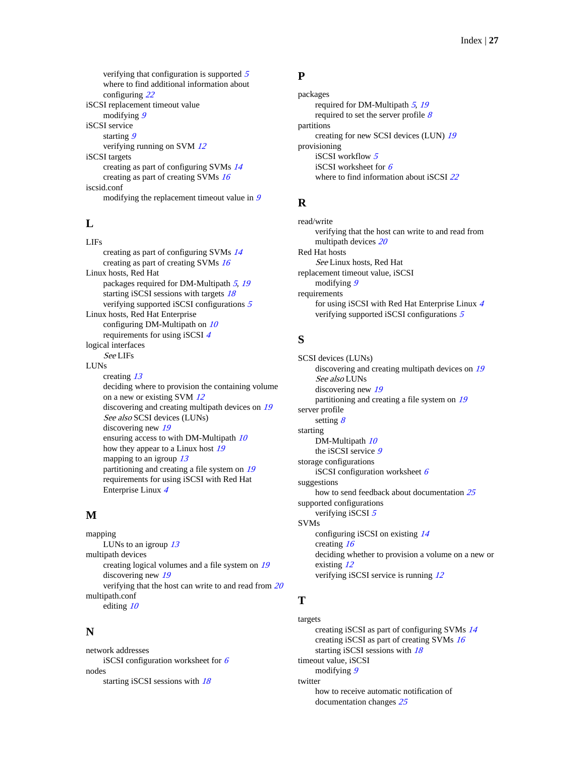<span id="page-26-0"></span>verifying that configuration is supported [5](#page-4-0) where to find additional information about configuring [22](#page-21-0) iSCSI replacement timeout value modifying [9](#page-8-0) iSCSI service starting [9](#page-8-0) verifying running on SVM [12](#page-11-0) iSCSI targets creating as part of configuring SVMs [14](#page-13-0) creating as part of creating SVMs [16](#page-15-0) iscsid.conf modifying the replacement timeout value in [9](#page-8-0)

## **L**

LIFs creating as part of configuring SVMs [14](#page-13-0) creating as part of creating SVMs [16](#page-15-0) Linux hosts, Red Hat packages required for DM-Multipath [5](#page-4-0), [19](#page-18-0) starting iSCSI sessions with targets [18](#page-17-0) verifying supported iSCSI configurations [5](#page-4-0) Linux hosts, Red Hat Enterprise configuring DM-Multipath on  $10$ requirements for using iSCSI [4](#page-3-0) logical interfaces See LIFs LUNs creating [13](#page-12-0) deciding where to provision the containing volume on a new or existing SVM [12](#page-11-0) discovering and creating multipath devices on [19](#page-18-0) See also SCSI devices (LUNs) discovering new [19](#page-18-0) ensuring access to with DM-Multipath [10](#page-9-0) how they appear to a Linux host [19](#page-18-0) mapping to an igroup  $13$ partitioning and creating a file system on [19](#page-18-0) requirements for using iSCSI with Red Hat Enterprise Linux [4](#page-3-0)

### **M**

mapping LUNs to an igroup  $13$ multipath devices creating logical volumes and a file system on [19](#page-18-0) discovering new [19](#page-18-0) verifying that the host can write to and read from [20](#page-19-0) multipath.conf editing [10](#page-9-0)

### **N**

network addresses iSCSI configuration worksheet for  $6$ nodes starting iSCSI sessions with  $18$ 

### **P**

packages required for DM-Multipath  $5$ , [19](#page-18-0) required to set the server profile  $8$ partitions creating for new SCSI devices (LUN) [19](#page-18-0) provisioning iSCSI workflow [5](#page-4-0) iSCSI worksheet for  $6$ where to find information about iSCSI [22](#page-21-0)

## **R**

read/write verifying that the host can write to and read from multipath devices [20](#page-19-0) Red Hat hosts See Linux hosts, Red Hat replacement timeout value, iSCSI modifying [9](#page-8-0) requirements for using iSCSI with Red Hat Enterprise Linux [4](#page-3-0) verifying supported iSCSI configurations [5](#page-4-0)

## **S**

SCSI devices (LUNs) discovering and creating multipath devices on [19](#page-18-0) See also LUNs discovering new [19](#page-18-0) partitioning and creating a file system on [19](#page-18-0) server profile setting  $8$ starting DM-Multipath  $10$ the iSCSI service [9](#page-8-0) storage configurations iSCSI configuration worksheet  $6$ suggestions how to send feedback about documentation  $25$ supported configurations verifying iSCSI [5](#page-4-0) SVMs configuring iSCSI on existing [14](#page-13-0) creating [16](#page-15-0) deciding whether to provision a volume on a new or existing [12](#page-11-0) verifying iSCSI service is running  $12$ 

## **T**

targets creating iSCSI as part of configuring SVMs [14](#page-13-0) creating iSCSI as part of creating SVMs [16](#page-15-0) starting iSCSI sessions with [18](#page-17-0) timeout value, iSCSI modifying [9](#page-8-0) twitter how to receive automatic notification of documentation changes [25](#page-24-0)